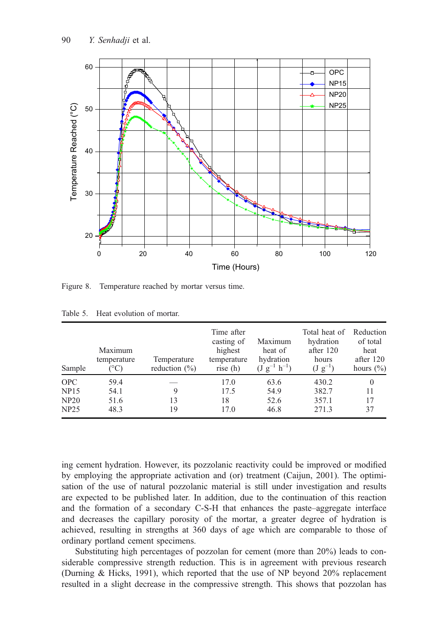

Figure 8. Temperature reached by mortar versus time.

| Sample      | Maximum<br>temperature<br>$^{\circ}\mathrm{C}$ | Temperature<br>reduction $(\% )$ | Time after<br>casting of<br>highest<br>temperature<br>rise $(h)$ | Maximum<br>heat of<br>hydration<br>$(J g^{-1} h^{-1})$ | Total heat of<br>hydration<br>after 120<br>hours<br>$(\mathrm{J} \mathrm{g}^{-1})$ | Reduction<br>of total<br>heat<br>after 120<br>hours $(\% )$ |
|-------------|------------------------------------------------|----------------------------------|------------------------------------------------------------------|--------------------------------------------------------|------------------------------------------------------------------------------------|-------------------------------------------------------------|
| <b>OPC</b>  | 59.4                                           |                                  | 17.0                                                             | 63.6                                                   | 430.2                                                                              | $\Omega$                                                    |
| <b>NP15</b> | 54.1                                           | 9                                | 17.5                                                             | 54.9                                                   | 382.7                                                                              | 11                                                          |
| NP20        | 51.6                                           | 13                               | 18                                                               | 52.6                                                   | 357.1                                                                              | 17                                                          |
| NP25        | 48.3                                           | 19                               | 17.0                                                             | 46.8                                                   | 271.3                                                                              | 37                                                          |

Table 5. Heat evolution of mortar.

ing cement hydration. However, its pozzolanic reactivity could be improved or modified by employing the appropriate activation and (or) treatment (Caijun, 2001). The optimisation of the use of natural pozzolanic material is still under investigation and results are expected to be published later. In addition, due to the continuation of this reaction and the formation of a secondary C-S-H that enhances the paste–aggregate interface and decreases the capillary porosity of the mortar, a greater degree of hydration is achieved, resulting in strengths at 360 days of age which are comparable to those of ordinary portland cement specimens.

Substituting high percentages of pozzolan for cement (more than 20%) leads to considerable compressive strength reduction. This is in agreement with previous research (Durning & Hicks, 1991), which reported that the use of NP beyond 20% replacement resulted in a slight decrease in the compressive strength. This shows that pozzolan has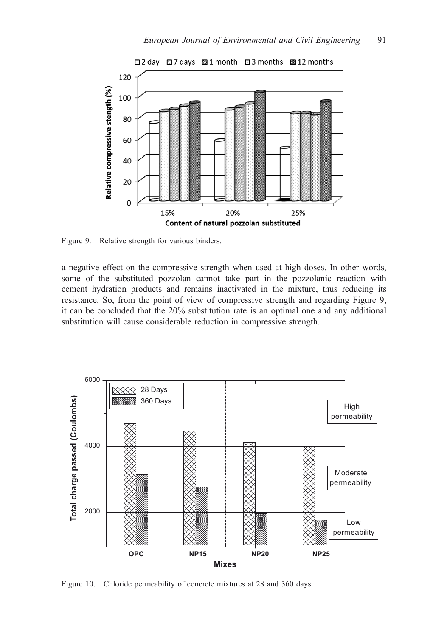

Figure 9. Relative strength for various binders.

a negative effect on the compressive strength when used at high doses. In other words, some of the substituted pozzolan cannot take part in the pozzolanic reaction with cement hydration products and remains inactivated in the mixture, thus reducing its resistance. So, from the point of view of compressive strength and regarding Figure 9, it can be concluded that the 20% substitution rate is an optimal one and any additional substitution will cause considerable reduction in compressive strength.



Figure 10. Chloride permeability of concrete mixtures at 28 and 360 days.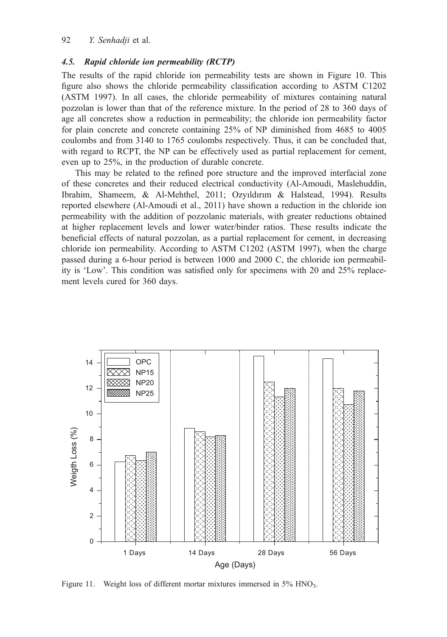## 4.5. Rapid chloride ion permeability (RCTP)

The results of the rapid chloride ion permeability tests are shown in Figure 10. This figure also shows the chloride permeability classification according to ASTM C1202 (ASTM 1997). In all cases, the chloride permeability of mixtures containing natural pozzolan is lower than that of the reference mixture. In the period of 28 to 360 days of age all concretes show a reduction in permeability; the chloride ion permeability factor for plain concrete and concrete containing 25% of NP diminished from 4685 to 4005 coulombs and from 3140 to 1765 coulombs respectively. Thus, it can be concluded that, with regard to RCPT, the NP can be effectively used as partial replacement for cement, even up to 25%, in the production of durable concrete.

This may be related to the refined pore structure and the improved interfacial zone of these concretes and their reduced electrical conductivity (Al-Amoudi, Maslehuddin, Ibrahim, Shameem, & Al-Mehthel, 2011; Ozyıldırım & Halstead, 1994). Results reported elsewhere (Al-Amoudi et al., 2011) have shown a reduction in the chloride ion permeability with the addition of pozzolanic materials, with greater reductions obtained at higher replacement levels and lower water/binder ratios. These results indicate the beneficial effects of natural pozzolan, as a partial replacement for cement, in decreasing chloride ion permeability. According to ASTM C1202 (ASTM 1997), when the charge passed during a 6-hour period is between 1000 and 2000 C, the chloride ion permeability is 'Low'. This condition was satisfied only for specimens with 20 and 25% replacement levels cured for 360 days.



Figure 11. Weight loss of different mortar mixtures immersed in 5% HNO<sub>3</sub>.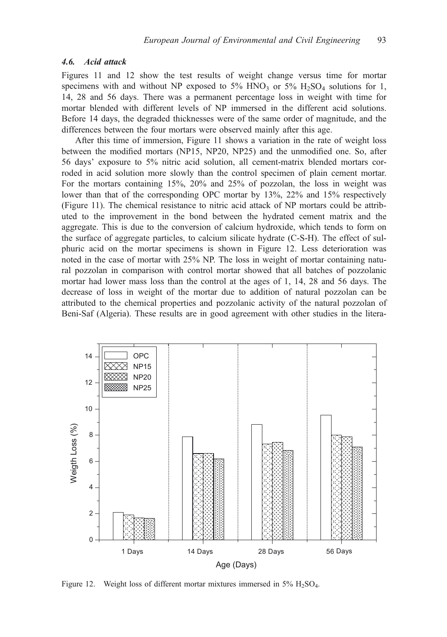### 4.6. Acid attack

Figures 11 and 12 show the test results of weight change versus time for mortar specimens with and without NP exposed to 5% HNO<sub>3</sub> or 5% H<sub>2</sub>SO<sub>4</sub> solutions for 1, 14, 28 and 56 days. There was a permanent percentage loss in weight with time for mortar blended with different levels of NP immersed in the different acid solutions. Before 14 days, the degraded thicknesses were of the same order of magnitude, and the differences between the four mortars were observed mainly after this age.

After this time of immersion, Figure 11 shows a variation in the rate of weight loss between the modified mortars (NP15, NP20, NP25) and the unmodified one. So, after 56 days' exposure to 5% nitric acid solution, all cement-matrix blended mortars corroded in acid solution more slowly than the control specimen of plain cement mortar. For the mortars containing 15%, 20% and 25% of pozzolan, the loss in weight was lower than that of the corresponding OPC mortar by 13%, 22% and 15% respectively (Figure 11). The chemical resistance to nitric acid attack of NP mortars could be attributed to the improvement in the bond between the hydrated cement matrix and the aggregate. This is due to the conversion of calcium hydroxide, which tends to form on the surface of aggregate particles, to calcium silicate hydrate (C-S-H). The effect of sulphuric acid on the mortar specimens is shown in Figure 12. Less deterioration was noted in the case of mortar with 25% NP. The loss in weight of mortar containing natural pozzolan in comparison with control mortar showed that all batches of pozzolanic mortar had lower mass loss than the control at the ages of 1, 14, 28 and 56 days. The decrease of loss in weight of the mortar due to addition of natural pozzolan can be attributed to the chemical properties and pozzolanic activity of the natural pozzolan of Beni-Saf (Algeria). These results are in good agreement with other studies in the litera-



Figure 12. Weight loss of different mortar mixtures immersed in  $5\%$  H<sub>2</sub>SO<sub>4</sub>.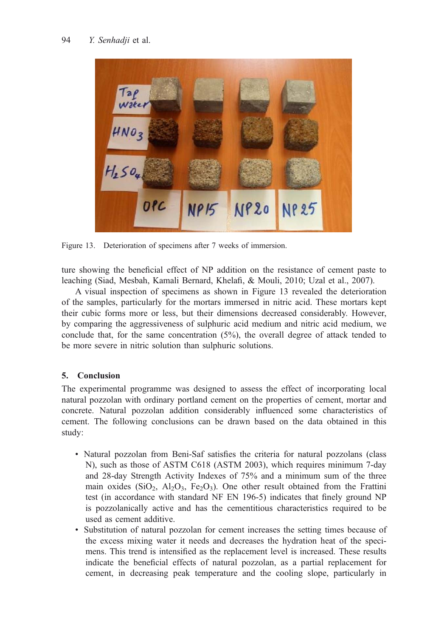

Figure 13. Deterioration of specimens after 7 weeks of immersion.

ture showing the beneficial effect of NP addition on the resistance of cement paste to leaching (Siad, Mesbah, Kamali Bernard, Khelafi, & Mouli, 2010; Uzal et al., 2007).

A visual inspection of specimens as shown in Figure 13 revealed the deterioration of the samples, particularly for the mortars immersed in nitric acid. These mortars kept their cubic forms more or less, but their dimensions decreased considerably. However, by comparing the aggressiveness of sulphuric acid medium and nitric acid medium, we conclude that, for the same concentration (5%), the overall degree of attack tended to be more severe in nitric solution than sulphuric solutions.

# 5. Conclusion

The experimental programme was designed to assess the effect of incorporating local natural pozzolan with ordinary portland cement on the properties of cement, mortar and concrete. Natural pozzolan addition considerably influenced some characteristics of cement. The following conclusions can be drawn based on the data obtained in this study:

- Natural pozzolan from Beni-Saf satisfies the criteria for natural pozzolans (class N), such as those of ASTM C618 (ASTM 2003), which requires minimum 7-day and 28-day Strength Activity Indexes of 75% and a minimum sum of the three main oxides (SiO<sub>2</sub>, Al<sub>2</sub>O<sub>3</sub>, Fe<sub>2</sub>O<sub>3</sub>). One other result obtained from the Frattini test (in accordance with standard NF EN 196-5) indicates that finely ground NP is pozzolanically active and has the cementitious characteristics required to be used as cement additive.
- Substitution of natural pozzolan for cement increases the setting times because of the excess mixing water it needs and decreases the hydration heat of the specimens. This trend is intensified as the replacement level is increased. These results indicate the beneficial effects of natural pozzolan, as a partial replacement for cement, in decreasing peak temperature and the cooling slope, particularly in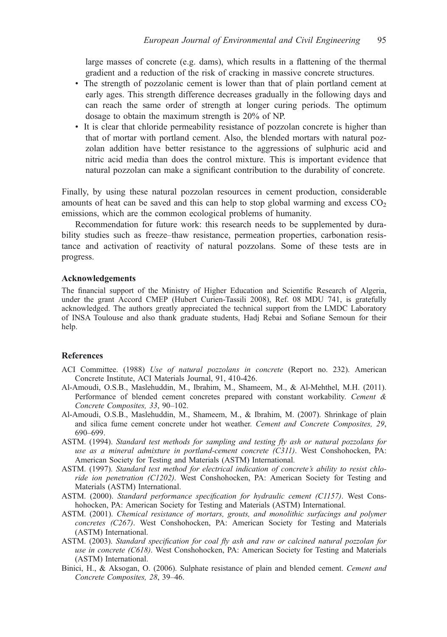large masses of concrete (e.g. dams), which results in a flattening of the thermal gradient and a reduction of the risk of cracking in massive concrete structures.

- The strength of pozzolanic cement is lower than that of plain portland cement at early ages. This strength difference decreases gradually in the following days and can reach the same order of strength at longer curing periods. The optimum dosage to obtain the maximum strength is 20% of NP.
- It is clear that chloride permeability resistance of pozzolan concrete is higher than that of mortar with portland cement. Also, the blended mortars with natural pozzolan addition have better resistance to the aggressions of sulphuric acid and nitric acid media than does the control mixture. This is important evidence that natural pozzolan can make a significant contribution to the durability of concrete.

Finally, by using these natural pozzolan resources in cement production, considerable amounts of heat can be saved and this can help to stop global warming and excess  $CO<sub>2</sub>$ emissions, which are the common ecological problems of humanity.

Recommendation for future work: this research needs to be supplemented by durability studies such as freeze–thaw resistance, permeation properties, carbonation resistance and activation of reactivity of natural pozzolans. Some of these tests are in progress.

## Acknowledgements

The financial support of the Ministry of Higher Education and Scientific Research of Algeria, under the grant Accord CMEP (Hubert Curien-Tassili 2008), Ref. 08 MDU 741, is gratefully acknowledged. The authors greatly appreciated the technical support from the LMDC Laboratory of INSA Toulouse and also thank graduate students, Hadj Rebai and Sofiane Semoun for their help.

#### References

- ACI Committee. (1988) Use of natural pozzolans in concrete (Report no. 232). American Concrete Institute, ACI Materials Journal, 91, 410-426.
- Al-Amoudi, O.S.B., Maslehuddin, M., Ibrahim, M., Shameem, M., & Al-Mehthel, M.H. (2011). Performance of blended cement concretes prepared with constant workability. Cement & Concrete Composites, 33, 90–102.
- Al-Amoudi, O.S.B., Maslehuddin, M., Shameem, M., & Ibrahim, M. (2007). Shrinkage of plain and silica fume cement concrete under hot weather. Cement and Concrete Composites, 29, 690–699.
- ASTM. (1994). Standard test methods for sampling and testing fly ash or natural pozzolans for use as a mineral admixture in portland-cement concrete (C311). West Conshohocken, PA: American Society for Testing and Materials (ASTM) International.
- ASTM. (1997). Standard test method for electrical indication of concrete's ability to resist chloride ion penetration (C1202). West Conshohocken, PA: American Society for Testing and Materials (ASTM) International.
- ASTM. (2000). Standard performance specification for hydraulic cement (C1157). West Conshohocken, PA: American Society for Testing and Materials (ASTM) International.
- ASTM. (2001). Chemical resistance of mortars, grouts, and monolithic surfacings and polymer concretes (C267). West Conshohocken, PA: American Society for Testing and Materials (ASTM) International.
- ASTM. (2003). Standard specification for coal fly ash and raw or calcined natural pozzolan for use in concrete (C618). West Conshohocken, PA: American Society for Testing and Materials (ASTM) International.
- Binici, H., & Aksogan, O. (2006). Sulphate resistance of plain and blended cement. Cement and Concrete Composites, 28, 39–46.